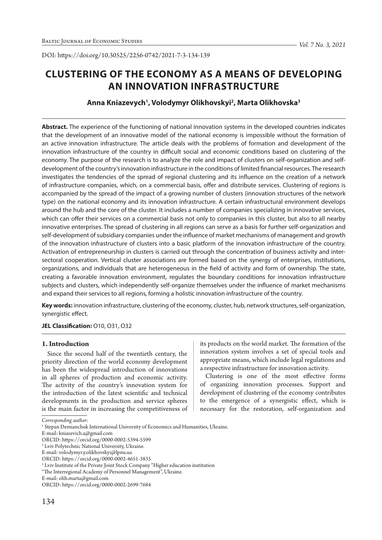DOI: https://doi.org/10.30525/2256-0742/2021-7-3-134-139

# **CLUSTERING OF THE ECONOMY AS A MEANS OF DEVELOPING AN INNOVATION INFRASTRUCTURE**

# **Anna Kniazevych1 , Volodymyr Olikhovskyi2 , Marta Olikhovska3**

**Abstract.** The experience of the functioning of national innovation systems in the developed countries indicates that the development of an innovative model of the national economy is impossible without the formation of an active innovation infrastructure. The article deals with the problems of formation and development of the innovation infrastructure of the country in difficult social and economic conditions based on clustering of the economy. The purpose of the research is to analyze the role and impact of clusters on self-organization and selfdevelopment of the country's innovation infrastructure in the conditions of limited financial resources. The research investigates the tendencies of the spread of regional clustering and its influence on the creation of a network of infrastructure companies, which, on a commercial basis, offer and distribute services. Clustering of regions is accompanied by the spread of the impact of a growing number of clusters (innovation structures of the network type) on the national economy and its innovation infrastructure. A certain infrastructural environment develops around the hub and the core of the cluster. It includes a number of companies specializing in innovative services, which can offer their services on a commercial basis not only to companies in this cluster, but also to all nearby innovative enterprises. The spread of clustering in all regions can serve as a basis for further self-organization and self-development of subsidiary companies under the influence of market mechanisms of management and growth of the innovation infrastructure of clusters into a basic platform of the innovation infrastructure of the country. Activation of entrepreneurship in clusters is carried out through the concentration of business activity and intersectoral cooperation. Vertical cluster associations are formed based on the synergy of enterprises, institutions, organizations, and individuals that are heterogeneous in the field of activity and form of ownership. The state, creating a favorable innovation environment, regulates the boundary conditions for innovation infrastructure subjects and clusters, which independently self-organize themselves under the influence of market mechanisms and expand their services to all regions, forming a holistic innovation infrastructure of the country.

**Key words:** innovation infrastructure, clustering of the economy, cluster, hub, network structures, self-organization, synergistic effect.

## **JEL Classification:** О10, O31, O32

#### **1. Introduction**

Since the second half of the twentieth century, the priority direction of the world economy development has been the widespread introduction of innovations in all spheres of production and economic activity. The activity of the country's innovation system for the introduction of the latest scientific and technical developments in the production and service spheres is the main factor in increasing the competitiveness of its products on the world market. The formation of the innovation system involves a set of special tools and appropriate means, which include legal regulations and a respective infrastructure for innovation activity.

Clustering is one of the most effective forms of organizing innovation processes. Support and development of clustering of the economy contributes to the emergence of a synergistic effect, which is necessary for the restoration, self-organization and

E-mail: kniazevich.a@gmail.com

*Corresponding author:*

<sup>&</sup>lt;sup>1</sup> Stepan Demianchuk International University of Economics and Humanities, Ukraine.

ORCID: https://orcid.org/0000-0002-5394-5599

<sup>2</sup> Lviv Polytechnic National University, Ukraine.

E-mail: volodymyr.y.olikhovskyi@lpnu.ua

ORCID: https://orcid.org/0000-0002-4651-3835

<sup>3</sup> Lviv Institute of the Private Joint Stock Company "Higher education institution

<sup>&</sup>quot;The Interregional Academy of Personnel Management", Ukraine.

E-mail: olih.marta@gmail.com

ORCID: https://orcid.org/0000-0002-2699-7684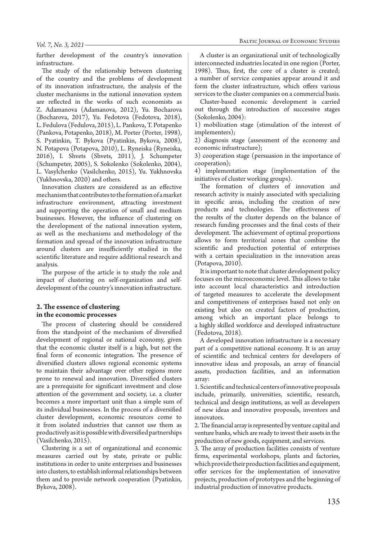further development of the country's innovation infrastructure.

The study of the relationship between clustering of the country and the problems of development of its innovation infrastructure, the analysis of the cluster mechanisms in the national innovation system are reflected in the works of such economists as Z. Adamanova (Adamanova, 2012), Yu. Bocharova (Bocharova, 2017), Yu. Fedotova (Fedotova, 2018), L. Fedulova (Fedulova, 2015), L. Pankova, T. Potapenko (Pankova, Potapenko, 2018), M. Porter (Porter, 1998), S. Pyatinkin, T. Bykova (Pyatinkin, Bykova, 2008), N. Potapova (Potapova, 2010), L. Ryneiska (Ryneiska, 2016), I. Shvets (Shvets, 2011), J. Schumpeter (Schumpeter, 2005), S. Sokolenko (Sokolenko, 2004), L. Vasylchenko (Vasilchenko, 2015), Yu. Yukhnovska (Yukhnovska, 2020) and others.

Innovation clusters are considered as an effective mechanism that contributes to the formation of a market infrastructure environment, attracting investment and supporting the operation of small and medium businesses. However, the influence of clustering on the development of the national innovation system, as well as the mechanisms and methodology of the formation and spread of the innovation infrastructure around clusters are insufficiently studied in the scientific literature and require additional research and analysis.

The purpose of the article is to study the role and impact of clustering on self-organization and selfdevelopment of the country's innovation infrastructure.

#### **2. The essence of clustering in the economic processes**

The process of clustering should be considered from the standpoint of the mechanism of diversified development of regional or national economy, given that the economic cluster itself is a high, but not the final form of economic integration. The presence of diversified clusters allows regional economic systems to maintain their advantage over other regions more prone to renewal and innovation. Diversified clusters are a prerequisite for significant investment and close attention of the government and society, i.e. a cluster becomes a more important unit than a simple sum of its individual businesses. In the process of a diversified cluster development, economic resources come to it from isolated industries that cannot use them as productively as it is possible with diversified partnerships (Vasilchenko, 2015).

Clustering is a set of organizational and economic measures carried out by state, private or public institutions in order to unite enterprises and businesses into clusters, to establish informal relationships between them and to provide network cooperation (Pyatinkin, Bykova, 2008).

A cluster is an organizational unit of technologically interconnected industries located in one region (Porter, 1998). Thus, first, the core of a cluster is created; a number of service companies appear around it and form the cluster infrastructure, which offers various services to the cluster companies on a commercial basis.

Cluster-based economic development is carried out through the introduction of successive stages (Sokolenko, 2004):

1) mobilization stage (stimulation of the interest of implementers);

2) diagnosis stage (assessment of the economy and economic infrastructure);

3) cooperation stage (persuasion in the importance of cooperation);

4) implementation stage (implementation of the initiatives of cluster working groups).

The formation of clusters of innovation and research activity is mainly associated with specializing in specific areas, including the creation of new products and technologies. The effectiveness of the results of the cluster depends on the balance of research funding processes and the final costs of their development. The achievement of optimal proportions allows to form territorial zones that combine the scientific and production potential of enterprises with a certain specialization in the innovation areas (Potapova, 2010).

It is important to note that cluster development policy focuses on the microeconomic level. This allows to take into account local characteristics and introduction of targeted measures to accelerate the development and competitiveness of enterprises based not only on existing but also on created factors of production, among which an important place belongs to a highly skilled workforce and developed infrastructure (Fedotova, 2018).

A developed innovation infrastructure is a necessary part of a competitive national economy. It is an array of scientific and technical centers for developers of innovative ideas and proposals, an array of financial assets, production facilities, and an information array:

1. Scientific and technical centers of innovative proposals include, primarily, universities, scientific, research, technical and design institutions, as well as developers of new ideas and innovative proposals, inventors and innovators.

2. The financial array is represented by venture capital and venture banks, which are ready to invest their assets in the production of new goods, equipment, and services.

3. The array of production facilities consists of venture firms, experimental workshops, plants and factories, which provide their production facilities and equipment, offer services for the implementation of innovative projects, production of prototypes and the beginning of industrial production of innovative products.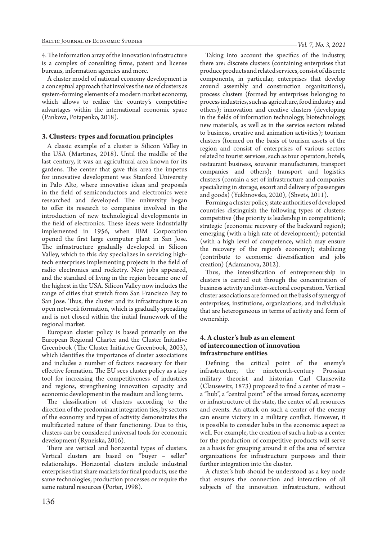4. The information array of the innovation infrastructure is a complex of consulting firms, patent and license bureaus, information agencies and more.

A cluster model of national economy development is a conceptual approach that involves the use of clusters as system-forming elements of a modern market economy, which allows to realize the country's competitive advantages within the international economic space (Pankova, Potapenko, 2018).

## **3. Clusters: types and formation principles**

A classic example of a cluster is Silicon Valley in the USA (Martines, 2018). Until the middle of the last century, it was an agricultural area known for its gardens. The center that gave this area the impetus for innovative development was Stanford University in Palo Alto, where innovative ideas and proposals in the field of semiconductors and electronics were researched and developed. The university began to offer its research to companies involved in the introduction of new technological developments in the field of electronics. These ideas were industrially implemented in 1956, when IBM Corporation opened the first large computer plant in San Jose. The infrastructure gradually developed in Silicon Valley, which to this day specializes in servicing hightech enterprises implementing projects in the field of radio electronics and rocketry. New jobs appeared, and the standard of living in the region became one of the highest in the USA. Silicon Valley now includes the range of cities that stretch from San Francisco Bay to San Jose. Thus, the cluster and its infrastructure is an open network formation, which is gradually spreading and is not closed within the initial framework of the regional market.

European cluster policy is based primarily on the European Regional Charter and the Cluster Initiative Greenbook (The Cluster Initiative Greenbook, 2003), which identifies the importance of cluster associations and includes a number of factors necessary for their effective formation. The EU sees cluster policy as a key tool for increasing the competitiveness of industries and regions, strengthening innovation capacity and economic development in the medium and long term.

The classification of clusters according to the direction of the predominant integration ties, by sectors of the economy and types of activity demonstrates the multifaceted nature of their functioning. Due to this, clusters can be considered universal tools for economic development (Ryneiska, 2016).

There are vertical and horizontal types of clusters. Vertical clusters are based on "buyer – seller" relationships. Horizontal clusters include industrial enterprises that share markets for final products, use the same technologies, production processes or require the same natural resources (Porter, 1998).

Taking into account the specifics of the industry, there are: discrete clusters (containing enterprises that produce products and related services, consist of discrete components, in particular, enterprises that develop around assembly and construction organizations); process clusters (formed by enterprises belonging to process industries, such as agriculture, food industry and others); innovation and creative clusters (developing in the fields of information technology, biotechnology, new materials, as well as in the service sectors related to business, creative and animation activities); tourism clusters (formed on the basis of tourism assets of the region and consist of enterprises of various sectors related to tourist services, such as tour operators, hotels, restaurant business, souvenir manufacturers, transport companies and others); transport and logistics clusters (contain a set of infrastructure and companies specializing in storage, escort and delivery of passengers and goods) (Yukhnovska, 2020), (Shvets, 2011).

Forming a cluster policy, state authorities of developed countries distinguish the following types of clusters: competitive (the priority is leadership in competition); strategic (economic recovery of the backward region); emerging (with a high rate of development); potential (with a high level of competence, which may ensure the recovery of the region's economy); stabilizing (contribute to economic diversification and jobs creation) (Adamanova, 2012).

Thus, the intensification of entrepreneurship in clusters is carried out through the concentration of business activity and inter-sectoral cooperation. Vertical cluster associations are formed on the basis of synergy of enterprises, institutions, organizations, and individuals that are heterogeneous in terms of activity and form of ownership.

## **4. A cluster's hub as an element of interconnection of innovation infrastructure entities**

Defining the critical point of the enemy's infrastructure, the nineteenth-century Prussian military theorist and historian Carl Clausewitz (Clausewitz, 1873) proposed to find a center of mass – a "hub", a "central point" of the armed forces, economy or infrastructure of the state, the center of all resources and events. An attack on such a center of the enemy can ensure victory in a military conflict. However, it is possible to consider hubs in the economic aspect as well. For example, the creation of such a hub as a center for the production of competitive products will serve as a basis for grouping around it of the area of service organizations for infrastructure purposes and their further integration into the cluster.

A cluster's hub should be understood as a key node that ensures the connection and interaction of all subjects of the innovation infrastructure, without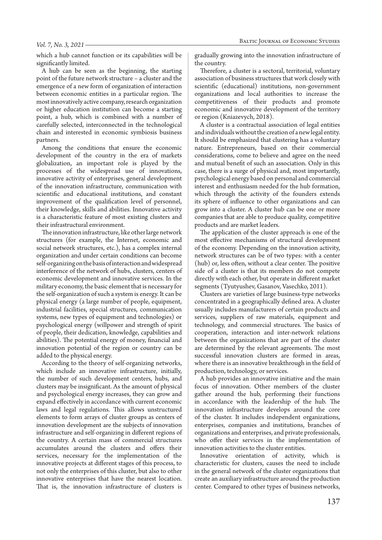which a hub cannot function or its capabilities will be significantly limited.

A hub can be seen as the beginning, the starting point of the future network structure – a cluster and the emergence of a new form of organization of interaction between economic entities in a particular region. The most innovatively active company, research organization or higher education institution can become a starting point, a hub, which is combined with a number of carefully selected, interconnected in the technological chain and interested in economic symbiosis business partners.

Among the conditions that ensure the economic development of the country in the era of markets globalization, an important role is played by the processes of the widespread use of innovations, innovative activity of enterprises, general development of the innovation infrastructure, communication with scientific and educational institutions, and constant improvement of the qualification level of personnel, their knowledge, skills and abilities. Innovative activity is a characteristic feature of most existing clusters and their infrastructural environment.

The innovation infrastructure, like other large network structures (for example, the Internet, economic and social network structures, etc.), has a complex internal organization and under certain conditions can become self-organizing on the basis of interaction and widespread interference of the network of hubs, clusters, centers of economic development and innovative services. In the military economy, the basic element that is necessary for the self-organization of such a system is energy. It can be physical energy (a large number of people, equipment, industrial facilities, special structures, communication systems, new types of equipment and technologies) or psychological energy (willpower and strength of spirit of people, their dedication, knowledge, capabilities and abilities). The potential energy of money, financial and innovation potential of the region or country can be added to the physical energy.

According to the theory of self-organizing networks, which include an innovative infrastructure, initially, the number of such development centers, hubs, and clusters may be insignificant. As the amount of physical and psychological energy increases, they can grow and expand effectively in accordance with current economic laws and legal regulations. This allows unstructured elements to form arrays of cluster groups as centers of innovation development are the subjects of innovation infrastructure and self-organizing in different regions of the country. A certain mass of commercial structures accumulates around the clusters and offers their services, necessary for the implementation of the innovative projects at different stages of this process, to not only the enterprises of this cluster, but also to other innovative enterprises that have the nearest location. That is, the innovation infrastructure of clusters is gradually growing into the innovation infrastructure of the country.

Therefore, a cluster is a sectoral, territorial, voluntary association of business structures that work closely with scientific (educational) institutions, non-government organizations and local authorities to increase the competitiveness of their products and promote economic and innovative development of the territory or region (Kniazevych, 2018).

A cluster is a contractual association of legal entities and individuals without the creation of a new legal entity. It should be emphasized that clustering has a voluntary nature. Entrepreneurs, based on their commercial considerations, come to believe and agree on the need and mutual benefit of such an association. Only in this case, there is a surge of physical and, most importantly, psychological energy based on personal and commercial interest and enthusiasm needed for the hub formation, which through the activity of the founders extends its sphere of influence to other organizations and can grow into a cluster. A cluster hub can be one or more companies that are able to produce quality, competitive products and are market leaders.

The application of the cluster approach is one of the most effective mechanisms of structural development of the economy. Depending on the innovation activity, network structures can be of two types: with a center (hub) or, less often, without a clear center. The positive side of a cluster is that its members do not compete directly with each other, but operate in different market segments (Tyutyushev, Gasanov, Vasechko, 2011).

Clusters are varieties of large business-type networks concentrated in a geographically defined area. A cluster usually includes manufacturers of certain products and services, suppliers of raw materials, equipment and technology, and commercial structures. The basics of cooperation, interaction and inter-network relations between the organizations that are part of the cluster are determined by the relevant agreements. The most successful innovation clusters are formed in areas, where there is an innovative breakthrough in the field of production, technology, or services.

A hub provides an innovative initiative and the main focus of innovation. Other members of the cluster gather around the hub, performing their functions in accordance with the leadership of the hub. The innovation infrastructure develops around the core of the cluster. It includes independent organizations, enterprises, companies and institutions, branches of organizations and enterprises, and private professionals, who offer their services in the implementation of innovation activities to the cluster entities.

Innovative orientation of activity, which is characteristic for clusters, causes the need to include in the general network of the cluster organizations that create an auxiliary infrastructure around the production center. Compared to other types of business networks,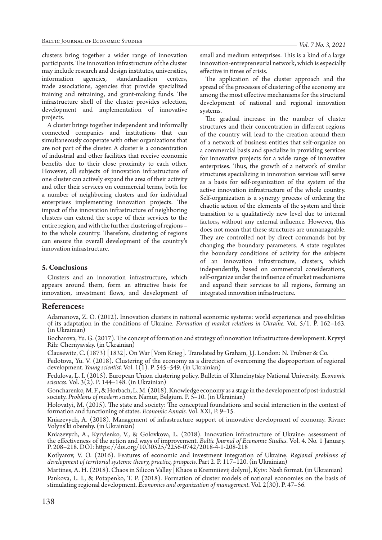clusters bring together a wider range of innovation participants. The innovation infrastructure of the cluster may include research and design institutes, universities, information agencies, standardization centers, trade associations, agencies that provide specialized training and retraining, and grant-making funds. The infrastructure shell of the cluster provides selection, development and implementation of innovative projects.

A cluster brings together independent and informally connected companies and institutions that can simultaneously cooperate with other organizations that are not part of the cluster. A cluster is a concentration of industrial and other facilities that receive economic benefits due to their close proximity to each other. However, all subjects of innovation infrastructure of one cluster can actively expand the area of their activity and offer their services on commercial terms, both for a number of neighboring clusters and for individual enterprises implementing innovation projects. The impact of the innovation infrastructure of neighboring clusters can extend the scope of their services to the entire region, and with the further clustering of regions – to the whole country. Therefore, clustering of regions can ensure the overall development of the country's innovation infrastructure.

## **5. Conclusions**

Clusters and an innovation infrastructure, which appears around them, form an attractive basis for innovation, investment flows, and development of small and medium enterprises. This is a kind of a large innovation-entrepreneurial network, which is especially effective in times of crisis.

The application of the cluster approach and the spread of the processes of clustering of the economy are among the most effective mechanisms for the structural development of national and regional innovation systems.

The gradual increase in the number of cluster structures and their concentration in different regions of the country will lead to the creation around them of a network of business entities that self-organize on a commercial basis and specialize in providing services for innovative projects for a wide range of innovative enterprises. Thus, the growth of a network of similar structures specializing in innovation services will serve as a basis for self-organization of the system of the active innovation infrastructure of the whole country. Self-organization is a synergy process of ordering the chaotic action of the elements of the system and their transition to a qualitatively new level due to internal factors, without any external influence. However, this does not mean that these structures are unmanageable. They are controlled not by direct commands but by changing the boundary parameters. A state regulates the boundary conditions of activity for the subjects of an innovation infrastructure, clusters, which independently, based on commercial considerations, self-organize under the influence of market mechanisms and expand their services to all regions, forming an integrated innovation infrastructure.

## **References:**

Adamanova, Z. O. (2012). Innovation clusters in national economic systems: world experience and possibilities of its adaptation in the conditions of Ukraine. *Formation of market relations in Ukraine.* Vol. 5/1. P. 162–163. (in Ukrainian)

Bocharova, Yu. G. (2017). The concept of formation and strategy of innovation infrastructure development. Kryvyi Rih: Chernyavsky. (in Ukrainian)

Clausewitz, C. (1873) [1832]. On War [Vom Krieg]. Translated by Graham, J.J. London: N. Trübner & Co.

Fedotova, Yu. V. (2018). Clustering of the economy as a direction of overcoming the disproportion of regional development. *Young scientist.* Vol. 1(1). P. 545–549. (in Ukrainian)

Fedulova, L. I. (2015). European Union clustering policy. Bulletin of Khmelnytsky National University. *Economic sciences*. Vol. 3(2). P. 144–148. (in Ukrainian)

Goncharenko, M. F., & Horbach, L. M. (2018). Knowledge economy as a stage in the development of post-industrial society. *Problems of modern science.* Namur, Belgium. P. 5–10. (in Ukrainian)

Holovatyi, M. (2015). The state and society: The conceptual foundations and social interaction in the context of formation and functioning of states. *Economic Annals.* Vol. XXI, P. 9–15.

Kniazevych, A. (2018). Management of infrastructure support of innovative development of economy. Rivne: Volyns'ki oberehy. (in Ukrainian)

Kniazevych, A., Kyrylenko, V., & Golovkova, L. (2018). Innovation infrastructure of Ukraine: assessment of the effectiveness of the action and ways of improvement. *Baltic Journal of Economic Studies.* Vol. 4. No. 1 January. P. 208–218. DOI: https://doi.org/10.30525/2256-0742/2018-4-1-208-218

Kotlyarov, V. O. (2016). Features of economic and investment integration of Ukraine. *Regional problems of development of territorial systems: theory, practice, prospects.* Part 2. P. 117–120. (in Ukrainian)

Martines, A. H. (2018). Chaos in Silicon Valley [Khaos u Kremniievij dolyni], Kyiv: Nash format. (in Ukrainian) Pankova, L. I., & Potapenko, T. P. (2018). Formation of cluster models of national economies on the basis of stimulating regional development. *Economics and organization of management.* Vol. 2(30). P. 47–56.